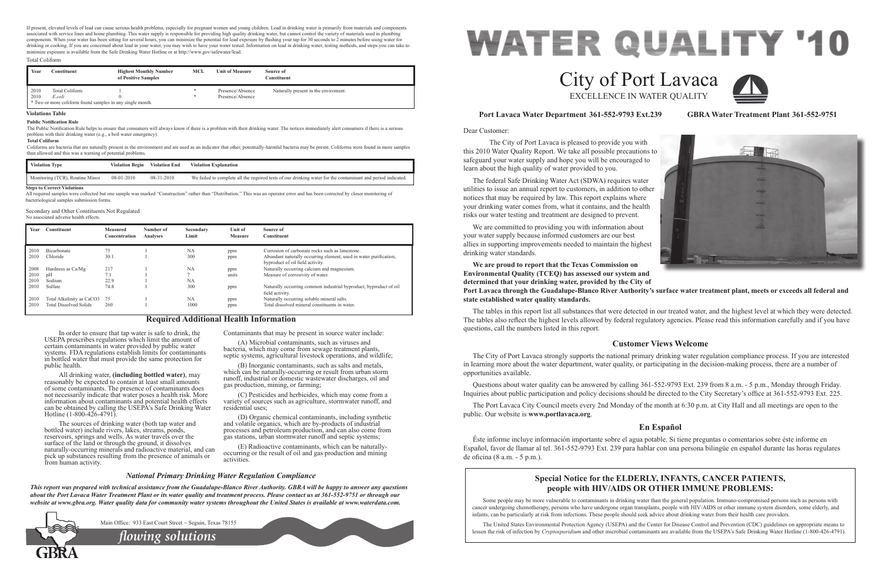Dear Customer:

 The City of Port Lavaca is pleased to provide you with this 2010 Water Quality Report. We take all possible precautions to safeguard your water supply and hope you will be encouraged to learn about the high quality of water provided to you. The federal Safe Drinking Water Act (SDWA) requires water utilities to issue an annual report to customers, in addition to other notices that may be required by law. This report explains where your drinking water comes from, what it contains, and the health risks our water testing and treatment are designed to prevent. We are committed to providing you with information about your water supply because informed customers are our best allies in supporting improvements needed to maintain the highest drinking water standards. **We are proud to report that the Texas Commission on** 

**Environmental Quality (TCEQ) has assessed our system and determined that your drinking water, provided by the City of Port Lavaca through the Guadalupe-Blanco River Authority's surface water treatment plant, meets or exceeds all federal and state established water quality standards.**

The tables in this report list all substances that were detected in our treated water, and the highest level at which they were detected. The tables also reflect the highest levels allowed by federal regulatory agencies. Please read this information carefully and if you have questions, call the numbers listed in this report.

# **Port Lavaca Water Department 361-552-9793 Ext.239 GBRA Water Treatment Plant 361-552-9751**

# **Customer Views Welcome**

The City of Port Lavaca strongly supports the national primary drinking water regulation compliance process. If you are interested in learning more about the water department, water quality, or participating in the decision-making process, there are a number of opportunities available.

Questions about water quality can be answered by calling 361-552-9793 Ext. 239 from 8 a.m. - 5 p.m., Monday through Friday. Inquiries about public participation and policy decisions should be directed to the City Secretary's office at 361-552-9793 Ext. 225.

The Port Lavaca City Council meets every 2nd Monday of the month at 6:30 p.m. at City Hall and all meetings are open to the public. Our website is **www.portlavaca.org**.

# **En Español**

Éste informe incluye información importante sobre el agua potable. Si tiene preguntas o comentarios sobre éste informe en Español, favor de llamar al tel. 361-552-9793 Ext. 239 para hablar con una persona bilingüe en español durante las horas regulares de oficina (8 a.m. - 5 p.m.).

# **WATER QUALITY '10** City of Port Lavaca EXCELLENCE IN WATER QUALITY

In order to ensure that tap water is safe to drink, the USEPA prescribes regulations which limit the amount of certain contaminants in water provided by public water systems. FDA regulations establish limits for contaminants in bottled water that must provide the same protection for public health.

All drinking water, **(including bottled water)**, may reasonably be expected to contain at least small amounts of some contaminants. The presence of contaminants does not necessarily indicate that water poses a health risk. More information about contaminants and potential health effects can be obtained by calling the USEPA's Safe Drinking Water Hotline (1-800-426-4791).

The sources of drinking water (both tap water and bottled water) include rivers, lakes, streams, ponds, reservoirs, springs and wells. As water travels over the surface of the land or through the ground, it dissolves naturally-occurring minerals and radioactive material, and can pick up substances resulting from the presence of animals or from human activity.

> *flowing solutions* Main Office: 933 East Court Street ~ Seguin, Texas 78155

Contaminants that may be present in source water include:

(A) Microbial contaminants, such as viruses and bacteria, which may come from sewage treatment plants, septic systems, agricultural livestock operations, and wildlife;

(B) Inorganic contaminants, such as salts and metals, which can be naturally-occurring or result from urban storm runoff, industrial or domestic wastewater discharges, oil and gas production, mining, or farming;

(C) Pesticides and herbicides, which may come from a variety of sources such as agriculture, stormwater runoff, and residential uses;

(D) Organic chemical contaminants, including synthetic and volatile organics, which are by-products of industrial processes and petroleum production, and can also come from gas stations, urban stormwater runoff and septic systems;

(E) Radioactive contaminants, which can be naturallyoccurring or the result of oil and gas production and mining activities.

# **Required Additional Health Information**

# *National Primary Drinking Water Regulation Compliance*

*This report was prepared with technical assistance from the Guadalupe-Blanco River Authority. GBRA will be happy to answer any questions about the Port Lavaca Water Treatment Plant or its water quality and treatment process. Please contact us at 361-552-9751 or through our website at www.gbra.org. Water quality data for community water systems throughout the United States is available at www.waterdata.com.*



# **Special Notice for the ELDERLY, INFANTS, CANCER PATIENTS, people with HIV/AIDS OR OTHER IMMUNE PROBLEMS:**

Some people may be more vulnerable to contaminants in drinking water than the general population. Immuno-compromised persons such as persons with cancer undergoing chemotherapy, persons who have undergone organ transplants, people with HIV/AIDS or other immune system disorders, some elderly, and infants, can be particularly at risk from infections. These people should seek advice about drinking water from their health care providers.

The United States Environmental Protection Agency (USEPA) and the Center for Disease Control and Prevention (CDC) guidelines on appropriate means to lessen the risk of infection by *Cryptosporidium* and other microbial contaminants are available from the USEPA's Safe Drinking Water Hotline (1-800-426-4791).





| Year | <b>Constituent</b>            | <b>Measured</b><br>Concentration | Number of<br><b>Analyses</b> | Secondary<br>Limit | <b>Unit of</b><br>Measure | Source of<br>Constituent                                                                              |
|------|-------------------------------|----------------------------------|------------------------------|--------------------|---------------------------|-------------------------------------------------------------------------------------------------------|
| 2010 | Bicarbonate                   | 75                               |                              | <b>NA</b>          | ppm                       | Corrosion of carbonate rocks such as limestone.                                                       |
| 2010 | Chloride                      | 30.1                             |                              | 300                | ppm                       | Abundant naturally occurring element, used in water purification,<br>byproduct of oil field activity. |
| 2008 | Hardness as Ca/Mg             | 217                              |                              | <b>NA</b>          | ppm                       | Naturally occurring calcium and magnesium.                                                            |
| 2010 | pH                            | 7.1                              |                              |                    | units                     | Measure of corrosivity of water.                                                                      |
| 2010 | Sodium                        | 22.9                             |                              | NA                 |                           |                                                                                                       |
| 2010 | Sulfate                       | 74.8                             |                              | 300                | ppm                       | Naturally occurring common industrial byproduct; byproduct of oil<br>field activity.                  |
| 2010 | Total Alkalinity as CaCO3     | 75                               |                              | <b>NA</b>          | ppm                       | Naturally occurring soluble mineral salts.                                                            |
| 2010 | <b>Total Dissolved Solids</b> | 260                              |                              | 1000               | ppm                       | Total dissolved mineral constituents in water.                                                        |

# Secondary and Other Constituents Not Regulated

No associated adverse health effects.

| Year | Constituent                                               | <b>Highest Monthly Number</b><br>of Positive Samples | MCL | <b>Unit of Measure</b> | Source of<br>Constituent             |
|------|-----------------------------------------------------------|------------------------------------------------------|-----|------------------------|--------------------------------------|
| 2010 | <b>Total Coliform</b>                                     |                                                      |     | Presence/Absence       | Naturally present in the enviroment. |
| 2010 | E.coli                                                    |                                                      |     | Presence/Absence       |                                      |
|      | * Two or more coliform found samples in any single month. |                                                      |     |                        |                                      |

# Total Coliform

If present, elevated levels of lead can cause serious health problems, especially for pregnant women and young children. Lead in drinking water is primarily from materials and components associated with service lines and home plumbing. This water supply is responsible for providing high quality drinking water, but cannot control the variety of materials used in plumbing components. When your water has been sitting for several hours, you can minimize the potential for lead exposure by flushing your tap for 30 seconds to 2 minutes before using water for drinking or cooking. If you are concerned about lead in your water, you may wish to have your water tested. Information on lead in drinking water, testing methods, and steps you can take to minimize exposure is available from the Safe Drinking Water Hotline or at http://www.gov/safewater/lead.

#### **Total Coliform**

Coliforms are bacteria that are naturally present in the environment and are used as an indicator that other, potentially-harmful bacteria may be presnt. Coliforms were found in more samples than allowed and this was a warning of potential problems.

### **Violations Table**

#### **Public Notification Rule**

| <b>Violation Type</b>              | <b>Violation Begin</b> | <b>Violation End</b> | <b>Violation Explanation</b>                                                                                 |
|------------------------------------|------------------------|----------------------|--------------------------------------------------------------------------------------------------------------|
| Monitoring (TCR), Routine Minor    | 08-01-2010             | 08-31-2010           | We failed to complete all the required tests of our drinking water for the contaminant and period indicated. |
| <b>Steps to Correct Violations</b> |                        |                      |                                                                                                              |

The Public Notification Rule helps to ensure that consumers will always know if there is a problem with their drinking water. The notices immediately alert consumers if there is a serious problem with their drinking water (e.g., a boil water emergency).

All required samples were collected but one sample was marked "Construction" rather than "Distribution." This was an operator error and has been corrected by closer monitoring of bacteriological samples submission forms.